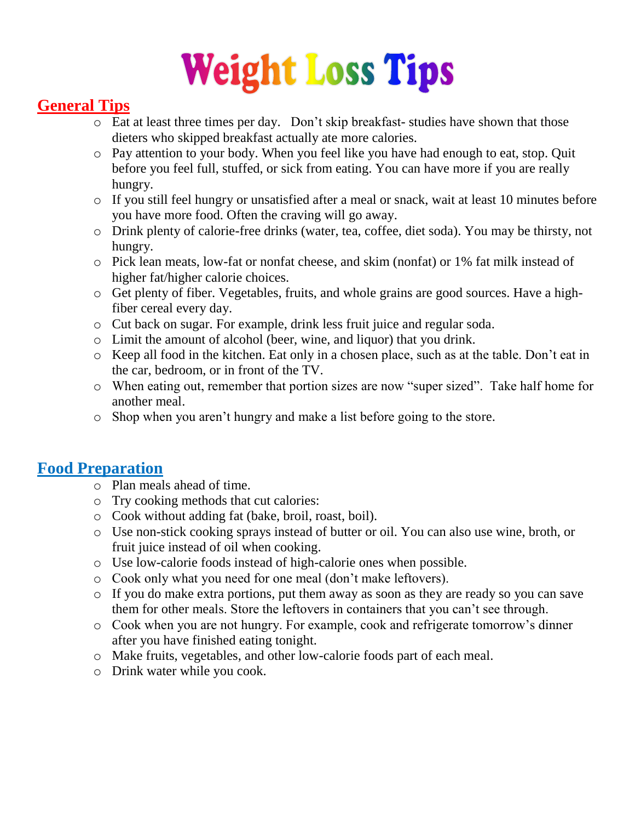# **Weight Loss Tips**

## **General Tips**

- o Eat at least three times per day. Don't skip breakfast- studies have shown that those dieters who skipped breakfast actually ate more calories.
- o Pay attention to your body. When you feel like you have had enough to eat, stop. Quit before you feel full, stuffed, or sick from eating. You can have more if you are really hungry.
- o If you still feel hungry or unsatisfied after a meal or snack, wait at least 10 minutes before you have more food. Often the craving will go away.
- o Drink plenty of calorie-free drinks (water, tea, coffee, diet soda). You may be thirsty, not hungry.
- o Pick lean meats, low-fat or nonfat cheese, and skim (nonfat) or 1% fat milk instead of higher fat/higher calorie choices.
- o Get plenty of fiber. Vegetables, fruits, and whole grains are good sources. Have a highfiber cereal every day.
- o Cut back on sugar. For example, drink less fruit juice and regular soda.
- o Limit the amount of alcohol (beer, wine, and liquor) that you drink.
- o Keep all food in the kitchen. Eat only in a chosen place, such as at the table. Don't eat in the car, bedroom, or in front of the TV.
- o When eating out, remember that portion sizes are now "super sized". Take half home for another meal.
- o Shop when you aren't hungry and make a list before going to the store.

### **Food Preparation**

- o Plan meals ahead of time.
- o Try cooking methods that cut calories:
- o Cook without adding fat (bake, broil, roast, boil).
- o Use non-stick cooking sprays instead of butter or oil. You can also use wine, broth, or fruit juice instead of oil when cooking.
- o Use low-calorie foods instead of high-calorie ones when possible.
- o Cook only what you need for one meal (don't make leftovers).
- o If you do make extra portions, put them away as soon as they are ready so you can save them for other meals. Store the leftovers in containers that you can't see through.
- o Cook when you are not hungry. For example, cook and refrigerate tomorrow's dinner after you have finished eating tonight.
- o Make fruits, vegetables, and other low-calorie foods part of each meal.
- o Drink water while you cook.